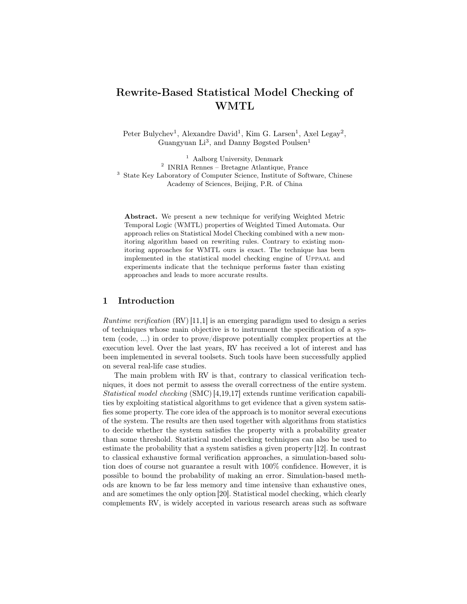# Rewrite-Based Statistical Model Checking of WMTL

Peter Bulychev<sup>1</sup>, Alexandre David<sup>1</sup>, Kim G. Larsen<sup>1</sup>, Axel Legay<sup>2</sup>, Guangyuan Li<sup>3</sup>, and Danny Bøgsted Poulsen<sup>1</sup>

 Aalborg University, Denmark INRIA Rennes – Bretagne Atlantique, France State Key Laboratory of Computer Science, Institute of Software, Chinese Academy of Sciences, Beijing, P.R. of China

Abstract. We present a new technique for verifying Weighted Metric Temporal Logic (WMTL) properties of Weighted Timed Automata. Our approach relies on Statistical Model Checking combined with a new monitoring algorithm based on rewriting rules. Contrary to existing monitoring approaches for WMTL ours is exact. The technique has been implemented in the statistical model checking engine of Uppaal and experiments indicate that the technique performs faster than existing approaches and leads to more accurate results.

## 1 Introduction

Runtime verification (RV) [11,1] is an emerging paradigm used to design a series of techniques whose main objective is to instrument the specification of a system (code, ...) in order to prove/disprove potentially complex properties at the execution level. Over the last years, RV has received a lot of interest and has been implemented in several toolsets. Such tools have been successfully applied on several real-life case studies.

The main problem with RV is that, contrary to classical verification techniques, it does not permit to assess the overall correctness of the entire system. Statistical model checking (SMC) [4,19,17] extends runtime verification capabilities by exploiting statistical algorithms to get evidence that a given system satisfies some property. The core idea of the approach is to monitor several executions of the system. The results are then used together with algorithms from statistics to decide whether the system satisfies the property with a probability greater than some threshold. Statistical model checking techniques can also be used to estimate the probability that a system satisfies a given property [12]. In contrast to classical exhaustive formal verification approaches, a simulation-based solution does of course not guarantee a result with 100% confidence. However, it is possible to bound the probability of making an error. Simulation-based methods are known to be far less memory and time intensive than exhaustive ones, and are sometimes the only option [20]. Statistical model checking, which clearly complements RV, is widely accepted in various research areas such as software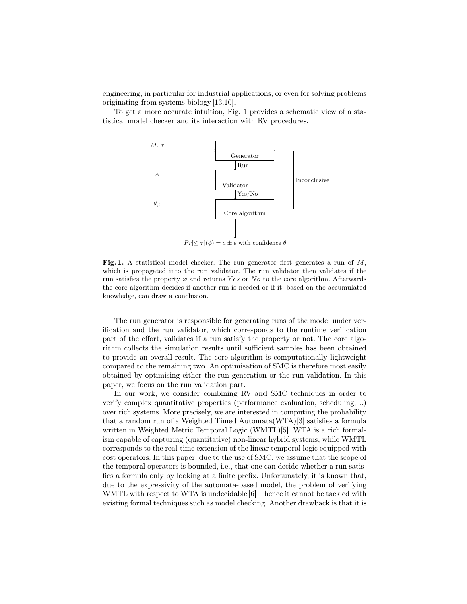engineering, in particular for industrial applications, or even for solving problems originating from systems biology [13,10].

To get a more accurate intuition, Fig. 1 provides a schematic view of a statistical model checker and its interaction with RV procedures.



 $Pr[\leq \tau](\phi) = a \pm \epsilon$  with confidence  $\theta$ 

Fig. 1. A statistical model checker. The run generator first generates a run of  $M$ , which is propagated into the run validator. The run validator then validates if the run satisfies the property  $\varphi$  and returns Yes or No to the core algorithm. Afterwards the core algorithm decides if another run is needed or if it, based on the accumulated knowledge, can draw a conclusion.

The run generator is responsible for generating runs of the model under verification and the run validator, which corresponds to the runtime verification part of the effort, validates if a run satisfy the property or not. The core algorithm collects the simulation results until sufficient samples has been obtained to provide an overall result. The core algorithm is computationally lightweight compared to the remaining two. An optimisation of SMC is therefore most easily obtained by optimising either the run generation or the run validation. In this paper, we focus on the run validation part.

In our work, we consider combining RV and SMC techniques in order to verify complex quantitative properties (performance evaluation, scheduling, ..) over rich systems. More precisely, we are interested in computing the probability that a random run of a Weighted Timed Automata(WTA)[3] satisfies a formula written in Weighted Metric Temporal Logic (WMTL)[5]. WTA is a rich formalism capable of capturing (quantitative) non-linear hybrid systems, while WMTL corresponds to the real-time extension of the linear temporal logic equipped with cost operators. In this paper, due to the use of SMC, we assume that the scope of the temporal operators is bounded, i.e., that one can decide whether a run satisfies a formula only by looking at a finite prefix. Unfortunately, it is known that, due to the expressivity of the automata-based model, the problem of verifying WMTL with respect to WTA is undecidable  $[6]$  – hence it cannot be tackled with existing formal techniques such as model checking. Another drawback is that it is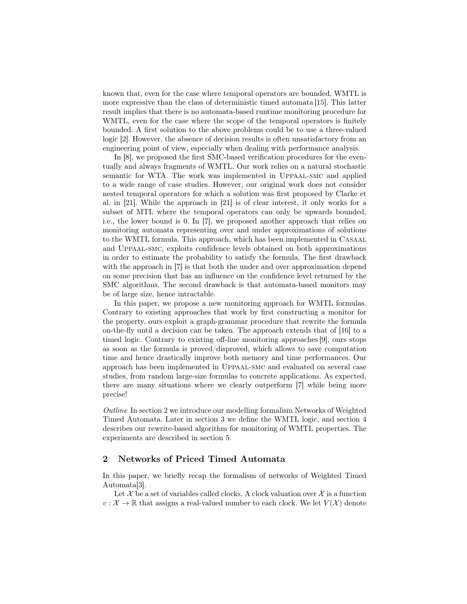known that, even for the case where temporal operators are bounded, WMTL is more expressive than the class of deterministic timed automata [15]. This latter result implies that there is no automata-based runtime monitoring procedure for WMTL, even for the case where the scope of the temporal operators is finitely bounded. A first solution to the above problems could be to use a three-valued logic [2]. However, the absence of decision results is often unsatisfactory from an engineering point of view, especially when dealing with performance analysis.

In [8], we proposed the first SMC-based verification procedures for the eventually and always fragments of WMTL. Our work relies on a natural stochastic semantic for WTA. The work was implemented in Uppaal-smc and applied to a wide range of case studies. However, our original work does not consider nested temporal operators for which a solution was first proposed by Clarke et al. in [21]. While the approach in [21] is of clear interest, it only works for a subset of MTL where the temporal operators can only be upwards bounded, i.e., the lower bound is 0. In [7], we proposed another approach that relies on monitoring automata representing over and under approximations of solutions to the WMTL formula. This approach, which has been implemented in Casaal and Uppaal-smc, exploits confidence levels obtained on both approximations in order to estimate the probability to satisfy the formula. The first drawback with the approach in [7] is that both the under and over approximation depend on some precision that has an influence on the confidence level returned by the SMC algorithms. The second drawback is that automata-based monitors may be of large size, hence intractable.

In this paper, we propose a new monitoring approach for WMTL formulas. Contrary to existing approaches that work by first constructing a monitor for the property, ours exploit a graph-grammar procedure that rewrite the formula on-the-fly until a decision can be taken. The approach extends that of [16] to a timed logic. Contrary to existing off-line monitoring approaches [9], ours stops as soon as the formula is proved/disproved, which allows to save computation time and hence drastically improve both memory and time performances. Our approach has been implemented in Uppaal-smc and evaluated on several case studies, from random large-size formulas to concrete applications. As expected, there are many situations where we clearly outperform [7] while being more precise!

Outline In section 2 we introduce our modelling formalism Networks of Weighted Timed Automata. Later in section 3 we define the WMTL logic, and section 4 describes our rewrite-based algorithm for monitoring of WMTL properties. The experiments are described in section 5.

## 2 Networks of Priced Timed Automata

In this paper, we briefly recap the formalism of networks of Weighted Timed Automata[3].

Let  $\mathcal X$  be a set of variables called clocks. A clock valuation over  $\mathcal X$  is a function  $v : \mathcal{X} \to \mathbb{R}$  that assigns a real-valued number to each clock. We let  $V(\mathcal{X})$  denote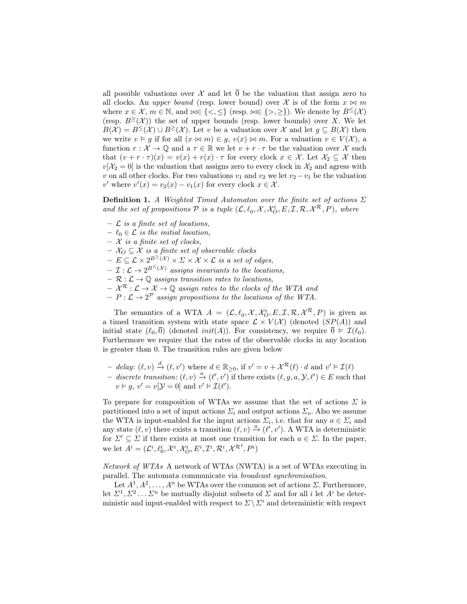all possible valuations over  $\mathcal X$  and let  $\overline{0}$  be the valuation that assign zero to all clocks. An upper bound (resp. lower bound) over  $\mathcal X$  is of the form  $x \bowtie m$ where  $x \in \mathcal{X}, m \in \mathbb{N}$ , and  $\bowtie \in \{<, \leq\}$  (resp.  $\bowtie \in \{>, \geq\}$ ). We denote by  $B^{\leq}(\mathcal{X})$ (resp.  $B^{\geq}(\mathcal{X})$ ) the set of upper bounds (resp. lower bounds) over X. We let  $B(\mathcal{X}) = B^{\leq}(\mathcal{X}) \cup B^{\geq}(\mathcal{X})$ . Let v be a valuation over X and let  $g \subseteq B(\mathcal{X})$  then we write  $v \vDash g$  if for all  $(x \bowtie m) \in g$ ,  $v(x) \bowtie m$ . For a valuation  $v \in V(\mathcal{X})$ , a function  $r : \mathcal{X} \to \mathbb{Q}$  and  $a \tau \in \mathbb{R}$  we let  $v + r \cdot \tau$  be the valuation over X such that  $(v + r \cdot \tau)(x) = v(x) + r(x) \cdot \tau$  for every clock  $x \in \mathcal{X}$ . Let  $\mathcal{X}_2 \subseteq \mathcal{X}$  then  $v[\mathcal{X}_2 = 0]$  is the valuation that assigns zero to every clock in  $\mathcal{X}_2$  and agress with v on all other clocks. For two valuations  $v_1$  and  $v_2$  we let  $v_2 - v_1$  be the valuation v' where  $v'(x) = v_2(x) - v_1(x)$  for every clock  $x \in \mathcal{X}$ .

**Definition 1.** A Weighted Timed Automaton over the finite set of actions  $\Sigma$ and the set of propositions  $P$  is a tuple  $(L, \ell_0, \mathcal{X}, \mathcal{X}_O^i, E, \mathcal{I}, \mathcal{R}, \mathcal{X}^R, P)$ , where

- $-$  L is a finite set of locations,
- $\ell_0 \in \mathcal{L}$  is the initial location,
- $\mathcal X$  is a finite set of clocks,
- $\mathcal{X}_O \subseteq \mathcal{X}$  is a finite set of observable clocks
- $\ E \subseteq \mathcal{L} \times 2^{B \geq (\mathcal{X})} \times \Sigma \times \mathcal{X} \times \mathcal{L}$  is a set of edges,
- $\mathcal{I}: \mathcal{L} \to 2^{B^{\leq}(\mathcal{X})}$  assigns invariants to the locations,
- $\mathcal{R}: \mathcal{L} \to \mathbb{Q}$  assigns transition rates to locations,
- $\mathcal{X}^{\mathcal{R}} : \mathcal{L} \to \mathcal{X} \to \mathbb{Q}$  assign rates to the clocks of the WTA and
- $-P:\mathcal{L}\to 2^{\mathcal{P}}$  assign propositions to the locations of the WTA.

The semantics of a WTA  $A = (\mathcal{L}, \ell_0, \mathcal{X}, \mathcal{X}_O^i, E, \mathcal{I}, \mathcal{R}, \mathcal{X}^R, P)$  is given as a timed transition system with state space  $\mathcal{L} \times V(\mathcal{X})$  (denoted  $(SP(A))$ ) and initial state  $(\ell_0, \overline{0})$  (denoted  $init(A)$ ). For consistency, we require  $\overline{0} \models \mathcal{I}(\ell_0)$ . Furthermore we require that the rates of the observable clocks in any location is greater than 0. The transition rules are given below

 $-$  delay:  $(\ell, v) \stackrel{d}{\rightarrow} (\ell, v')$  where  $d \in \mathbb{R}_{\geq 0}$ , if  $v' = v + \mathcal{X}^{\mathcal{R}}(\ell) \cdot d$  and  $v' \vDash \mathcal{I}(\ell)$  $-$  discrete transition:  $(\ell, v) \stackrel{a}{\rightarrow} (\ell', v')$  if there exists  $(\ell, g, a, y, \ell') \in E$  such that  $v \models g, v' = v[\mathcal{Y} = 0] \text{ and } v' \models \mathcal{I}(\ell').$ 

To prepare for composition of WTAs we assume that the set of actions  $\Sigma$  is partitioned into a set of input actions  $\Sigma_i$  and output actions  $\Sigma_o$ . Also we assume the WTA is input-enabled for the input actions  $\Sigma_i$ , i.e. that for any  $a \in \Sigma_i$  and any state  $(\ell, v)$  there exists a transition  $(\ell, v) \stackrel{a}{\rightarrow} (\ell', v')$ . A WTA is deterministic for  $\Sigma' \subseteq \Sigma$  if there exists at most one transition for each  $a \in \Sigma$ . In the paper, we let  $A^i=(\mathcal{L}^i,\ell^i_0,\mathcal{X}^i,\mathcal{X}^i_O,E^i,\mathcal{I}^i,\mathcal{R}^i,\mathcal{X}^{\mathcal{R}^i},P^i)$ 

Network of WTAs A network of WTAs (NWTA) is a set of WTAs executing in parallel. The automata communicate via broadcast synchronisation.

Let  $A^1, A^2, \ldots, A^n$  be WTAs over the common set of actions  $\Sigma$ . Furthermore, let  $\Sigma^1, \Sigma^2 \dots \Sigma^n$  be mutually disjoint subsets of  $\Sigma$  and for all i let  $A^i$  be deterministic and input-enabled with respect to  $\Sigma \backslash \Sigma^i$  and deterministic with respect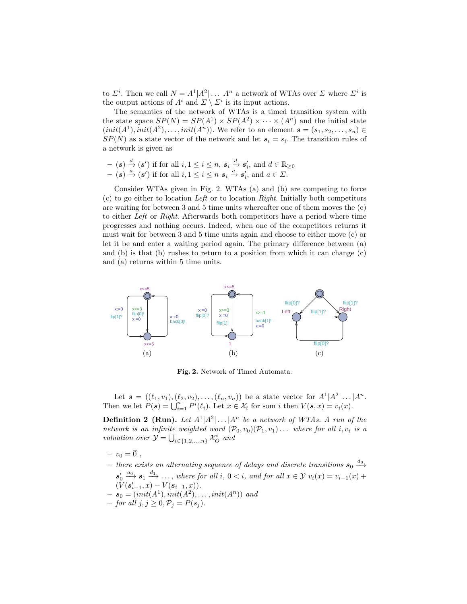to  $\Sigma^i$ . Then we call  $N = A^1 |A^2| \dots |A^n$  a network of WTAs over  $\Sigma$  where  $\Sigma^i$  is the output actions of  $A^i$  and  $\Sigma \setminus \Sigma^i$  is its input actions.

The semantics of the network of WTAs is a timed transition system with the state space  $SP(N) = SP(A^1) \times SP(A^2) \times \cdots \times (A^n)$  and the initial state  $(int(A^1), init(A^2), \ldots, init(A^n))$ . We refer to an element  $s = (s_1, s_2, \ldots, s_n) \in$  $SP(N)$  as a state vector of the network and let  $s_i = s_i$ . The transition rules of a network is given as

- $-$  (s)  $\stackrel{d}{\rightarrow}$  (s') if for all  $i, 1 \leq i \leq n$ ,  $s_i \stackrel{d}{\rightarrow} s'_i$ , and  $d \in \mathbb{R}_{\geq 0}$
- $-$  (s)  $x^a \rightarrow s'$  if for all  $i, 1 \leq i \leq n$  s<sub>i</sub>  $x^a \rightarrow s'_i$ , and  $a \in \Sigma$ .

Consider WTAs given in Fig. 2. WTAs (a) and (b) are competing to force (c) to go either to location Left or to location Right. Initially both competitors are waiting for between 3 and 5 time units whereafter one of them moves the (c) to either Left or Right. Afterwards both competitors have a period where time progresses and nothing occurs. Indeed, when one of the competitors returns it must wait for between 3 and 5 time units again and choose to either move (c) or let it be and enter a waiting period again. The primary difference between (a) and (b) is that (b) rushes to return to a position from which it can change (c) and (a) returns within 5 time units.



Fig. 2. Network of Timed Automata.

Let  $\mathbf{s} = ((\ell_1, v_1), (\ell_2, v_2), \dots, (\ell_n, v_n))$  be a state vector for  $A^1 | A^2 | \dots | A^n$ . Then we let  $P(\mathbf{s}) = \bigcup_{i=1}^{n} P^{i}(\ell_i)$ . Let  $x \in \mathcal{X}_i$  for som i then  $V(\mathbf{s}, x) = v_i(x)$ .

**Definition 2 (Run).** Let  $A^1|A^2|\ldots|A^n$  be a network of WTAs. A run of the network is an infinite weighted word  $(\mathcal{P}_0, v_0)(\mathcal{P}_1, v_1) \dots$  where for all i,  $v_i$  is a valuation over  $\mathcal{Y} = \bigcup_{i \in \{1,2,\ldots,n\}} \mathcal{X}_{O}^{i}$  and

- $v_0 = \overline{0}$ ,
- − there exists an alternating sequence of delays and discrete transitions  $s_0 \stackrel{d_0}{\longrightarrow}$  $s'_0 \stackrel{a_0}{\longrightarrow} s_1 \stackrel{d_1}{\longrightarrow} \ldots$ , where for all i,  $0 < i$ , and for all  $x \in \mathcal{Y}$   $v_i(x) = v_{i-1}(x) +$  $(V(\mathbf{s}'_{i-1}, x) - V(\mathbf{s}_{i-1}, x)).$  $- s_0 = (init(A^1), init(A^2), \ldots, init(A^n))$  and
- for all  $j, j \geq 0, \mathcal{P}_i = P(s_i)$ .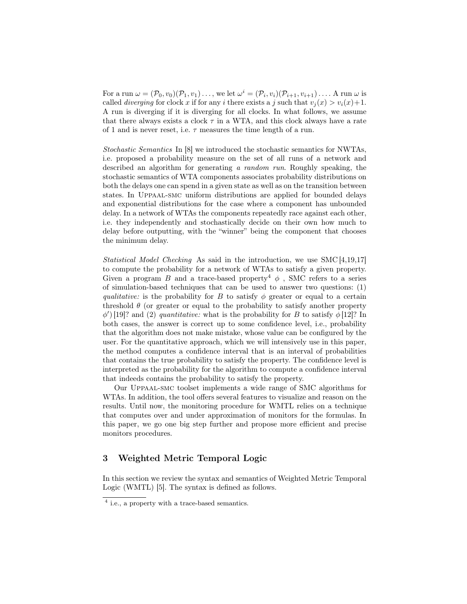For a run  $\omega = (\mathcal{P}_0, v_0)(\mathcal{P}_1, v_1) \dots$ , we let  $\omega^i = (\mathcal{P}_i, v_i)(\mathcal{P}_{i+1}, v_{i+1}) \dots$ . A run  $\omega$  is called *diverging* for clock x if for any i there exists a j such that  $v_i(x) > v_i(x)+1$ . A run is diverging if it is diverging for all clocks. In what follows, we assume that there always exists a clock  $\tau$  in a WTA, and this clock always have a rate of 1 and is never reset, i.e.  $\tau$  measures the time length of a run.

Stochastic Semantics In [8] we introduced the stochastic semantics for NWTAs, i.e. proposed a probability measure on the set of all runs of a network and described an algorithm for generating a random run. Roughly speaking, the stochastic semantics of WTA components associates probability distributions on both the delays one can spend in a given state as well as on the transition between states. In Uppaal-smc uniform distributions are applied for bounded delays and exponential distributions for the case where a component has unbounded delay. In a network of WTAs the components repeatedly race against each other, i.e. they independently and stochastically decide on their own how much to delay before outputting, with the "winner" being the component that chooses the minimum delay.

Statistical Model Checking As said in the introduction, we use SMC [4,19,17] to compute the probability for a network of WTAs to satisfy a given property. Given a program B and a trace-based property<sup>4</sup>  $\phi$ , SMC refers to a series of simulation-based techniques that can be used to answer two questions: (1) qualitative: is the probability for B to satisfy  $\phi$  greater or equal to a certain threshold  $\theta$  (or greater or equal to the probability to satisfy another property  $\phi'$ ) [19]? and (2) *quantitative:* what is the probability for B to satisfy  $\phi$  [12]? In both cases, the answer is correct up to some confidence level, i.e., probability that the algorithm does not make mistake, whose value can be configured by the user. For the quantitative approach, which we will intensively use in this paper, the method computes a confidence interval that is an interval of probabilities that contains the true probability to satisfy the property. The confidence level is interpreted as the probability for the algorithm to compute a confidence interval that indeeds contains the probability to satisfy the property.

Our Uppaal-smc toolset implements a wide range of SMC algorithms for WTAs. In addition, the tool offers several features to visualize and reason on the results. Until now, the monitoring procedure for WMTL relies on a technique that computes over and under approximation of monitors for the formulas. In this paper, we go one big step further and propose more efficient and precise monitors procedures.

## 3 Weighted Metric Temporal Logic

In this section we review the syntax and semantics of Weighted Metric Temporal Logic (WMTL) [5]. The syntax is defined as follows.

<sup>4</sup> i.e., a property with a trace-based semantics.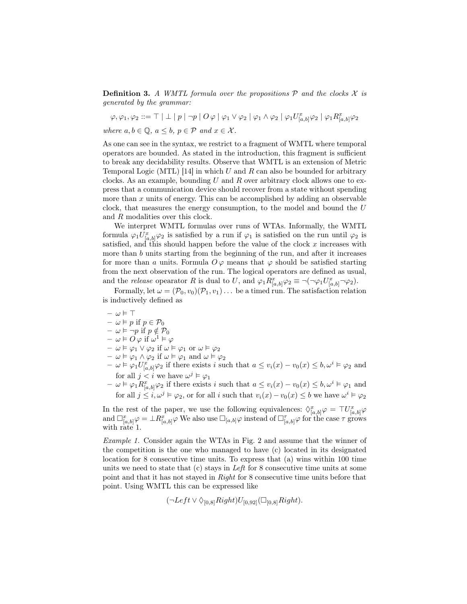**Definition 3.** A WMTL formula over the propositions  $P$  and the clocks  $X$  is generated by the grammar:

 $\varphi, \varphi_1, \varphi_2 ::= \top \mid \bot \mid p \mid \neg p \mid O \, \varphi \mid \varphi_1 \vee \varphi_2 \mid \varphi_1 \wedge \varphi_2 \mid \varphi_1 U_{[a,b]}^x \varphi_2 \mid \varphi_1 R_{[a,b]}^x \varphi_2$ where  $a, b \in \mathbb{Q}$ ,  $a \leq b$ ,  $p \in \mathcal{P}$  and  $x \in \mathcal{X}$ .

As one can see in the syntax, we restrict to a fragment of WMTL where temporal operators are bounded. As stated in the introduction, this fragment is sufficient to break any decidability results. Observe that WMTL is an extension of Metric Temporal Logic (MTL)  $[14]$  in which U and R can also be bounded for arbitrary clocks. As an example, bounding  $U$  and  $R$  over arbitrary clock allows one to express that a communication device should recover from a state without spending more than x units of energy. This can be accomplished by adding an observable clock, that measures the energy consumption, to the model and bound the U and R modalities over this clock.

We interpret WMTL formulas over runs of WTAs. Informally, the WMTL formula  $\varphi_1 U_{[a,b]}^x \varphi_2$  is satisfied by a run if  $\varphi_1$  is satisfied on the run until  $\varphi_2$  is satisfied, and this should happen before the value of the clock  $x$  increases with more than  $b$  units starting from the beginning of the run, and after it increases for more than a units. Formula  $O\varphi$  means that  $\varphi$  should be satisfied starting from the next observation of the run. The logical operators are defined as usual, and the release opearator R is dual to U, and  $\varphi_1 R_{[a,b]}^x \varphi_2 \equiv \neg(\neg \varphi_1 U_{[a,b]}^x \neg \varphi_2)$ .

Formally, let  $\omega = (\mathcal{P}_0, v_0)(\mathcal{P}_1, v_1) \dots$  be a timed run. The satisfaction relation is inductively defined as

$$
-\ \omega \vDash \top
$$

- $-\omega \models p$  if  $p \in \mathcal{P}_0$
- $-\omega \models \neg p \text{ if } p \notin \mathcal{P}_0$
- $\omega \vDash O\,\varphi$  if  $\omega^1 \vDash \varphi$
- $-\omega \models \varphi_1 \vee \varphi_2$  if  $\omega \models \varphi_1$  or  $\omega \models \varphi_2$
- $-\omega \models \varphi_1 \wedge \varphi_2$  if  $\omega \models \varphi_1$  and  $\omega \models \varphi_2$
- $-\omega \models \varphi_1 U_{[a,b]}^x \varphi_2$  if there exists i such that  $a \leq v_i(x) v_0(x) \leq b, \omega^i \models \varphi_2$  and for all  $j < i$  we have  $\omega^j \models \varphi_1$
- $-\omega \models \varphi_1 R_{[a,b]}^x \varphi_2$  if there exists i such that  $a \leq v_i(x) v_0(x) \leq b, \omega^i \models \varphi_1$  and for all  $j \leq i, \omega^j \models \varphi_2$ , or for all i such that  $v_i(x) - v_0(x) \leq b$  we have  $\omega^i \models \varphi_2$

In the rest of the paper, we use the following equivalences:  $\Diamond_{[a,b]}^x \varphi = \top U_{[a,b]}^x \varphi$ and  $\Box_{[a,b]}^x \varphi = \bot R_{[a,b]}^x \varphi$  We also use  $\Box_{[a,b]}^x \varphi$  instead of  $\Box_{[a,b]}^{\tau} \varphi$  for the case  $\tau$  grows with rate 1.

Example 1. Consider again the WTAs in Fig. 2 and assume that the winner of the competition is the one who managed to have (c) located in its designated location for 8 consecutive time units. To express that (a) wins within 100 time units we need to state that (c) stays in Left for 8 consecutive time units at some point and that it has not stayed in Right for 8 consecutive time units before that point. Using WMTL this can be expressed like

$$
(\neg Left \lor \Diamond_{[0,8]}Right)U_{[0,92]}(\Box_{[0,8]}Right).
$$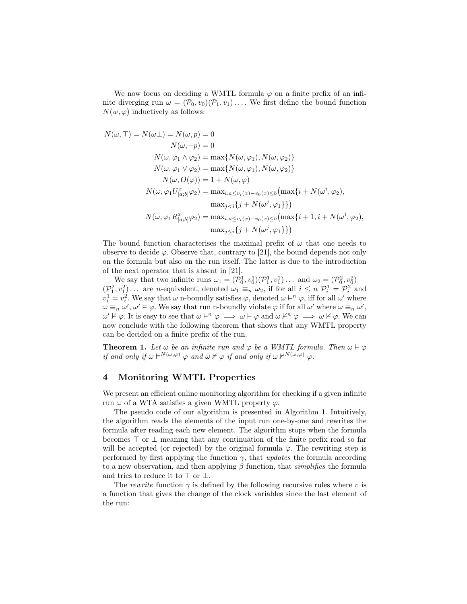We now focus on deciding a WMTL formula  $\varphi$  on a finite prefix of an infinite diverging run  $\omega = (\mathcal{P}_0, v_0)(\mathcal{P}_1, v_1) \dots$ . We first define the bound function  $N(w, \varphi)$  inductively as follows:

$$
N(\omega, \top) = N(\omega \bot) = N(\omega, p) = 0
$$
  
\n
$$
N(\omega, \neg p) = 0
$$
  
\n
$$
N(\omega, \varphi_1 \wedge \varphi_2) = \max\{N(\omega, \varphi_1), N(\omega, \varphi_2)\}
$$
  
\n
$$
N(\omega, \varphi_1 \vee \varphi_2) = \max\{N(\omega, \varphi_1), N(\omega, \varphi_2)\}
$$
  
\n
$$
N(\omega, O(\varphi)) = 1 + N(\omega, \varphi)
$$
  
\n
$$
N(\omega, \varphi_1 U_{[a;b]}^{\pi} \varphi_2) = \max_{i.a \le v_i(x) - v_0(x) \le b} \left(\max\{i + N(\omega^i, \varphi_2), \max_{j \le i} \{j + N(\omega^j, \varphi_1)\}\right)
$$
  
\n
$$
N(\omega, \varphi_1 R_{[a;b]}^{\pi} \varphi_2) = \max_{i.a \le v_i(x) - v_0(x) \le b} \left(\max\{i + 1, i + N(\omega^i, \varphi_2), \max_{j \le i} \{j + N(\omega^j, \varphi_1)\}\right)
$$

The bound function characterises the maximal prefix of  $\omega$  that one needs to observe to decide  $\varphi$ . Observe that, contrary to [21], the bound depends not only on the formula but also on the run itself. The latter is due to the introduction of the next operator that is absent in [21].

We say that two infinite runs  $\omega_1 = (\mathcal{P}_0^1, v_0^1)(\mathcal{P}_1^1, v_1^1) \dots$  and  $\omega_2 = (\mathcal{P}_0^2, v_0^2)$  $(\mathcal{P}_1^2, v_1^2) \dots$  are *n*-equivalent, denoted  $\omega_1 \equiv_n \omega_2$ , if for all  $i \leq n \mathcal{P}_i^1 = \mathcal{P}_i^2$  and  $v_i^1 = v_i^2$ . We say that  $\omega$  n-boundly satisfies  $\varphi$ , denoted  $\omega \models^n \varphi$ , iff for all  $\omega'$  where  $\omega \equiv_n \omega'$ ,  $\omega' \models \varphi$ . We say that run n-boundly violate  $\varphi$  if for all  $\omega'$  where  $\omega \equiv_n \omega'$ ,  $\omega' \nvDash \varphi$ . It is easy to see that  $\omega \models^n \varphi \implies \omega \models \varphi$  and  $\omega \nvDash^n \varphi \implies \omega \nvDash \varphi$ . We can now conclude with the following theorem that shows that any WMTL property can be decided on a finite prefix of the run.

**Theorem 1.** Let  $\omega$  be an infinite run and  $\varphi$  be a WMTL formula. Then  $\omega \models \varphi$ if and only if  $\omega \models^{N(\omega,\varphi)} \varphi$  and  $\omega \nvDash \varphi$  if and only if  $\omega \nvDash^{N(\omega,\varphi)} \varphi$ .

## 4 Monitoring WMTL Properties

We present an efficient online monitoring algorithm for checking if a given infinite run  $\omega$  of a WTA satisfies a given WMTL property  $\varphi$ .

The pseudo code of our algorithm is presented in Algorithm 1. Intuitively, the algorithm reads the elements of the input run one-by-one and rewrites the formula after reading each new element. The algorithm stops when the formula becomes  $\top$  or  $\bot$  meaning that any continuation of the finite prefix read so far will be accepted (or rejected) by the original formula  $\varphi$ . The rewriting step is performed by first applying the function  $\gamma$ , that updates the formula according to a new observation, and then applying  $\beta$  function, that *simplifies* the formula and tries to reduce it to  $\top$  or  $\bot$ .

The rewrite function  $\gamma$  is defined by the following recursive rules where v is a function that gives the change of the clock variables since the last element of the run: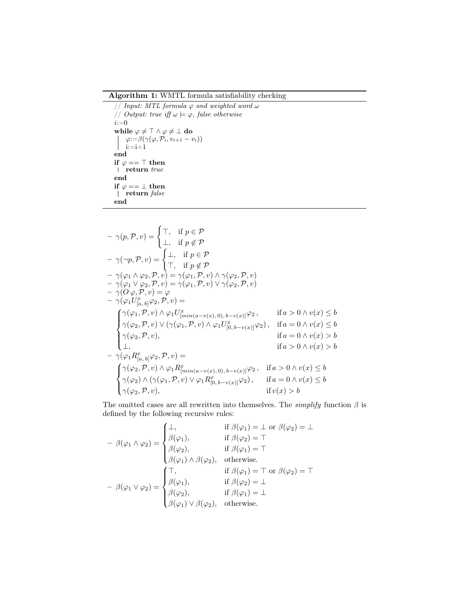## Algorithm 1: WMTL formula satisfiability checking

// Input: MTL formula  $\varphi$  and weighted word  $\omega$ // Output: true iff  $\omega \models \varphi$ , false otherwise  $i:=0$ while  $\varphi\neq \top \wedge \varphi \neq \bot$  do  $\varphi\!\!:=\!\!\beta(\gamma(\varphi,\mathcal{P}_i, v_{i+1}-v_i))$  $\vert$  i:=i+1 end if  $\varphi = = \top$  then return true end if  $\varphi=\,=\,\perp$  then  $\int$  return false end

$$
-\gamma(p, \mathcal{P}, v) = \begin{cases} \top, & \text{if } p \in \mathcal{P} \\ \bot, & \text{if } p \notin \mathcal{P} \\ \top, & \text{if } p \notin \mathcal{P} \end{cases}
$$
  
\n
$$
-\gamma(\neg p, \mathcal{P}, v) = \begin{cases} \bot, & \text{if } p \in \mathcal{P} \\ \top, & \text{if } p \notin \mathcal{P} \\ \top, & \text{if } p \notin \mathcal{P} \end{cases}
$$
  
\n
$$
-\gamma(\varphi_1 \wedge \varphi_2, \mathcal{P}, v) = \gamma(\varphi_1, \mathcal{P}, v) \wedge \gamma(\varphi_2, \mathcal{P}, v)
$$
  
\n
$$
-\gamma(\varphi_1 \vee \varphi_2, \mathcal{P}, v) = \varphi
$$
  
\n
$$
-\gamma(\varphi_1 U_{[a, b]}^x \varphi_2, \mathcal{P}, v) =
$$
  
\n
$$
\begin{cases} \gamma(\varphi_1, \mathcal{P}, v) \wedge \varphi_1 U_{[min(a - v(x), 0), b - v(x)]}^x \varphi_2, & \text{if } a > 0 \wedge v(x) \le b \\ \gamma(\varphi_2, \mathcal{P}, v) \vee (\gamma(\varphi_1, \mathcal{P}, v) \wedge \varphi_1 U_{[0, b - v(x)]}^x \varphi_2), & \text{if } a = 0 \wedge v(x) \le b \\ \gamma(\varphi_2, \mathcal{P}, v), & \text{if } a = 0 \wedge v(x) > b \\ \bot, & \text{if } a > 0 \wedge v(x) > b \end{cases}
$$
  
\n
$$
-\gamma(\varphi_1 R_{[a, b]}^x \varphi_2, \mathcal{P}, v) =
$$
  
\n
$$
\begin{cases} \gamma(\varphi_2, \mathcal{P}, v) \wedge \varphi_1 R_{[min(a - v(x), 0), b - v(x)]}^x \varphi_2, & \text{if } a > 0 \wedge v(x) \le b \\ \gamma(\varphi_2) \wedge (\gamma(\varphi_1, \mathcal{P}, v) \vee \varphi_1 R_{[0, b - v(x)]}^x \varphi_2), & \text{if } a = 0 \wedge v(x) \le b \\ \gamma(\var
$$

The omitted cases are all rewritten into themselves. The *simplify* function  $\beta$  is defined by the following recursive rules:

$$
-\beta(\varphi_1 \wedge \varphi_2) = \begin{cases} \bot, & \text{if } \beta(\varphi_1) = \bot \text{ or } \beta(\varphi_2) = \bot \\ \beta(\varphi_1), & \text{if } \beta(\varphi_2) = \top \\ \beta(\varphi_2), & \text{if } \beta(\varphi_1) = \top \\ \beta(\varphi_1) \wedge \beta(\varphi_2), & \text{otherwise.} \end{cases}
$$

$$
-\beta(\varphi_1 \vee \varphi_2) = \begin{cases} \top, & \text{if } \beta(\varphi_1) = \top \text{ or } \beta(\varphi_2) = \top \\ \beta(\varphi_1), & \text{if } \beta(\varphi_2) = \bot \\ \beta(\varphi_2), & \text{if } \beta(\varphi_1) = \bot \\ \beta(\varphi_1) \vee \beta(\varphi_2), & \text{otherwise.} \end{cases}
$$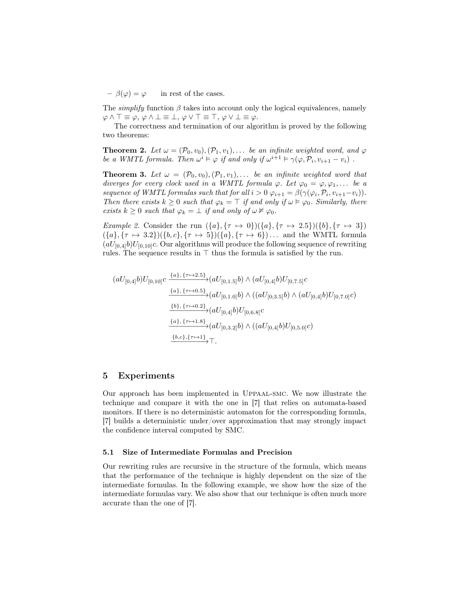$-\beta(\varphi) = \varphi$  in rest of the cases.

The *simplify* function  $\beta$  takes into account only the logical equivalences, namely  $\varphi \wedge \top \equiv \varphi, \varphi \wedge \bot \equiv \bot, \varphi \vee \top \equiv \top, \varphi \vee \bot \equiv \varphi.$ 

The correctness and termination of our algorithm is proved by the following two theorems:

**Theorem 2.** Let  $\omega = (\mathcal{P}_0, v_0), (\mathcal{P}_1, v_1), \ldots$  be an infinite weighted word, and  $\varphi$ be a WMTL formula. Then  $\omega^i \models \varphi$  if and only if  $\omega^{i+1} \models \gamma(\varphi, \mathcal{P}_i, v_{i+1} - v_i)$ .

**Theorem 3.** Let  $\omega = (\mathcal{P}_0, v_0), (\mathcal{P}_1, v_1), \ldots$  be an infinite weighted word that diverges for every clock used in a WMTL formula  $\varphi$ . Let  $\varphi_0 = \varphi, \varphi_1, \ldots$  be a sequence of WMTL formulas such that for all  $i > 0$   $\varphi_{i+1} = \beta(\gamma(\varphi_i, \mathcal{P}_i, v_{i+1} - v_i)).$ Then there exists  $k \geq 0$  such that  $\varphi_k = \top$  if and only if  $\omega \models \varphi_0$ . Similarly, there exists  $k \geq 0$  such that  $\varphi_k = \bot$  if and only of  $\omega \nvDash \varphi_0$ .

Example 2. Consider the run  $({a}, {\tau \mapsto 0})({a}, {\tau \mapsto 2.5})({b}, {\tau \mapsto 3})$  $({a}, {\tau \mapsto 3.2})({b, c}, {\tau \mapsto 5})({a}, {\tau \mapsto 6})\dots$  and the WMTL formula  $(aU_{[0,4]}b)U_{[0,10]}c.$  Our algorithms will produce the following sequence of rewriting rules. The sequence results in  $\top$  thus the formula is satisfied by the run.

$$
(aU_{[0,4]}b)U_{[0,10]}c \xrightarrow{\{a\},\{\tau\mapsto 2.5\}} (aU_{[0,1.5]}b) \wedge (aU_{[0,4]}b)U_{[0,7.5]}c
$$
  

$$
\xrightarrow{\{a\},\{\tau\mapsto 0.5\}} (aU_{[0,1.0]}b) \wedge ((aU_{[0,3.5]}b) \wedge (aU_{[0,4]}b)U_{[0,7.0]}c)
$$
  

$$
\xrightarrow{\{b\},\{\tau\mapsto 0.2\}} (aU_{[0,4]}b)U_{[0,6.8]}c
$$
  

$$
\xrightarrow{\{a\},\{\tau\mapsto 1.8\}} (aU_{[0,3.2]}b) \wedge ((aU_{[0,4]}b)U_{[0,5.0]}c)
$$
  

$$
\xrightarrow{\{b,c\},\{\tau\mapsto 1\}} \top.
$$

#### 5 Experiments

Our approach has been implemented in Uppaal-smc. We now illustrate the technique and compare it with the one in [7] that relies on automata-based monitors. If there is no deterministic automaton for the corresponding formula, [7] builds a deterministic under/over approximation that may strongly impact the confidence interval computed by SMC.

#### 5.1 Size of Intermediate Formulas and Precision

Our rewriting rules are recursive in the structure of the formula, which means that the performance of the technique is highly dependent on the size of the intermediate formulas. In the following example, we show how the size of the intermediate formulas vary. We also show that our technique is often much more accurate than the one of [7].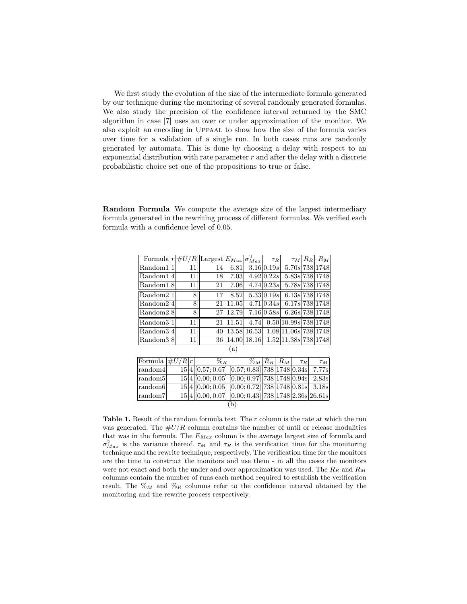We first study the evolution of the size of the intermediate formula generated by our technique during the monitoring of several randomly generated formulas. We also study the precision of the confidence interval returned by the SMC algorithm in case [7] uses an over or under approximation of the monitor. We also exploit an encoding in Uppaal to show how the size of the formula varies over time for a validation of a single run. In both cases runs are randomly generated by automata. This is done by choosing a delay with respect to an exponential distribution with rate parameter  $r$  and after the delay with a discrete probabilistic choice set one of the propositions to true or false.

Random Formula We compute the average size of the largest intermediary formula generated in the rewriting process of different formulas. We verified each formula with a confidence level of 0.05.

| Formulalr                        |   | $\#U/R$         |    | Largest $ E_{Max} $                                    |       | $\overline{\sigma^2_{Max}}$ | $\tau_R$   |       | $\tau_M$ | $R_R$    | $R_M$                |  |
|----------------------------------|---|-----------------|----|--------------------------------------------------------|-------|-----------------------------|------------|-------|----------|----------|----------------------|--|
| Random1                          | 1 |                 | 11 | 14                                                     | 6.81  |                             | 3.16 0.19s |       |          |          | 5.70s 738 1748       |  |
| Random1                          | 4 |                 | 11 | 18                                                     | 7.03  |                             | 4.92 0.22s |       |          |          | $5.83s$ 738 1748     |  |
| Random1 <sup>8</sup>             |   |                 | 11 | 21                                                     | 7.06  |                             | 4.74 0.23s |       |          |          | 5.78s 738 1748       |  |
| Random <sub>2</sub> <sup>1</sup> |   |                 | 8  | 17                                                     | 8.52  |                             | 5.33 0.19s |       |          |          | $6.13s$ 738 1748     |  |
| Random2 4                        |   |                 | 8  | 21                                                     | 11.05 |                             | 4.71 0.34s |       |          |          | $6.17s$ 738 1748     |  |
| Random2 <sup>8</sup>             |   |                 | 8  | 27                                                     | 12.79 |                             | 7.16 0.58s |       |          |          | $6.26s$ 738 1748     |  |
| Random3 <sup>1</sup>             |   |                 | 11 | 21                                                     | 11.51 | 4.74                        |            |       |          |          | 0.50 10.99s 738 1748 |  |
| Random3 <sup>[4]</sup>           |   |                 | 11 | 40                                                     | 13.58 | 16.53                       |            |       |          |          | 1.08 11.06s 738 1748 |  |
| Random3 <sup>8</sup>             |   |                 | 11 | 361                                                    | 14.00 | 18.16                       |            |       |          |          | 1.52 11.38s 738 1748 |  |
| (a)                              |   |                 |    |                                                        |       |                             |            |       |          |          |                      |  |
| Formula                          |   | $\#U/R r$       |    | $\mathcal{K}_R$                                        |       | $\%_M$                      | $R_R$      | $R_M$ |          | $\tau_R$ | $\tau_M$             |  |
| random4                          |   | 15 <sub>l</sub> |    | $4 [0.57; 0.67] 0.57; 0.83 738 1748 0.34s$             |       |                             |            |       |          |          | 7.77s                |  |
| random <sup>5</sup>              |   | 151             |    | $4 [0.00; 0.05] 0.00; 0.97 738 1748 0.94s $            |       |                             |            |       |          |          | $2.83\mathrm{s}$     |  |
| random <sub>6</sub>              |   | 15 <sup>1</sup> |    | $4 [0.00; 0.05] 0.00; 0.72] 738 1748 0.81s $           |       |                             |            |       |          |          | 3.18s                |  |
| random7                          |   |                 |    | $15 4 [0.00, 0.07] [0.00; 0.43] 738 1748 2.36s 26.61s$ |       |                             |            |       |          |          |                      |  |
| (b)                              |   |                 |    |                                                        |       |                             |            |       |          |          |                      |  |

Table 1. Result of the random formula test. The r column is the rate at which the run was generated. The  $\#U/R$  column contains the number of until or release modalities that was in the formula. The  $E_{Max}$  column is the average largest size of formula and  $\sigma_{Max}^2$  is the variance thereof.  $\tau_M$  and  $\tau_R$  is the verification time for the monitoring technique and the rewrite technique, respectively. The verification time for the monitors are the time to construct the monitors and use them - in all the cases the monitors were not exact and both the under and over approximation was used. The  $R_R$  and  $R_M$ columns contain the number of runs each method required to establish the verification result. The  $\%_M$  and  $\%_R$  columns refer to the confidence interval obtained by the monitoring and the rewrite process respectively.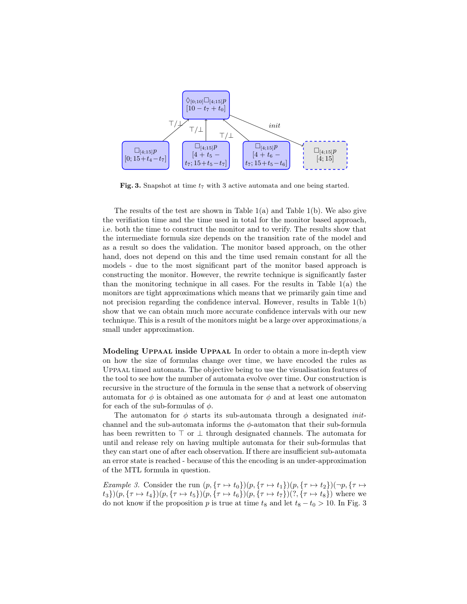

Fig. 3. Snapshot at time  $t_7$  with 3 active automata and one being started.

The results of the test are shown in Table  $1(a)$  and Table  $1(b)$ . We also give the verifiation time and the time used in total for the monitor based approach, i.e. both the time to construct the monitor and to verify. The results show that the intermediate formula size depends on the transition rate of the model and as a result so does the validation. The monitor based approach, on the other hand, does not depend on this and the time used remain constant for all the models - due to the most significant part of the monitor based approach is constructing the monitor. However, the rewrite technique is significantly faster than the monitoring technique in all cases. For the results in Table  $1(a)$  the monitors are tight approximations which means that we primarily gain time and not precision regarding the confidence interval. However, results in Table 1(b) show that we can obtain much more accurate confidence intervals with our new technique. This is a result of the monitors might be a large over approximations/ $\alpha$ small under approximation.

Modeling Uppaal inside Uppaal In order to obtain a more in-depth view on how the size of formulas change over time, we have encoded the rules as Uppaal timed automata. The objective being to use the visualisation features of the tool to see how the number of automata evolve over time. Our construction is recursive in the structure of the formula in the sense that a network of observing automata for  $\phi$  is obtained as one automata for  $\phi$  and at least one automaton for each of the sub-formulas of  $\phi$ .

The automaton for  $\phi$  starts its sub-automata through a designated *init*channel and the sub-automata informs the  $\phi$ -automaton that their sub-formula has been rewritten to  $\top$  or  $\bot$  through designated channels. The automata for until and release rely on having multiple automata for their sub-formulas that they can start one of after each observation. If there are insufficient sub-automata an error state is reached - because of this the encoding is an under-approximation of the MTL formula in question.

*Example 3.* Consider the run  $(p, {\tau \mapsto t_0}) (p, {\tau \mapsto t_1}) (p, {\tau \mapsto t_2}) (\neg p, {\tau \mapsto t_1})$  $(t_3)(p, {\tau \mapsto t_4})(p, {\tau \mapsto t_5})(p, {\tau \mapsto t_6})(p, {\tau \mapsto t_7})(?, {\tau \mapsto t_8})$  where we do not know if the proposition p is true at time  $t_8$  and let  $t_8 - t_0 > 10$ . In Fig. 3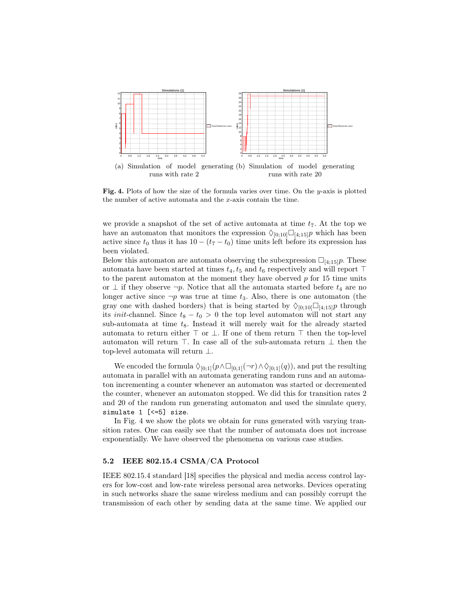

Fig. 4. Plots of how the size of the formula varies over time. On the  $y$ -axis is plotted the number of active automata and the x-axis contain the time.

we provide a snapshot of the set of active automata at time  $t_7$ . At the top we have an automaton that monitors the expression  $\Diamond_{[0,10]} \Box_{[4,15]} p$  which has been active since  $t_0$  thus it has  $10 - (t_7 - t_0)$  time units left before its expression has been violated.

Below this automaton are automata observing the subexpression  $\Box_{[4;15]}$ . These automata have been started at times  $t_4, t_5$  and  $t_6$  respectively and will report ⊤ to the parent automaton at the moment they have oberved  $p$  for 15 time units or  $\perp$  if they observe  $\neg p$ . Notice that all the automata started before  $t_4$  are no longer active since  $\neg p$  was true at time  $t_3$ . Also, there is one automaton (the gray one with dashed borders) that is being started by  $\Diamond_{[0;10]} \Box_{[4;15]} p$  through its *init*-channel. Since  $t_8 - t_0 > 0$  the top level automaton will not start any sub-automata at time  $t_8$ . Instead it will merely wait for the already started automata to return either  $\top$  or  $\bot$ . If one of them return  $\top$  then the top-level automaton will return ⊤. In case all of the sub-automata return ⊥ then the top-level automata will return ⊥.

We encoded the formula  $\Diamond_{[0,1]}(p \land \Box_{[0,1]}(\neg r) \land \Diamond_{[0,1]}(q))$ , and put the resulting automata in parallel with an automata generating random runs and an automaton incrementing a counter whenever an automaton was started or decremented the counter, whenever an automaton stopped. We did this for transition rates 2 and 20 of the random run generating automaton and used the simulate query, simulate 1 [<=5] size.

In Fig. 4 we show the plots we obtain for runs generated with varying transition rates. One can easily see that the number of automata does not increase exponentially. We have observed the phenomena on various case studies.

### 5.2 IEEE 802.15.4 CSMA/CA Protocol

IEEE 802.15.4 standard [18] specifies the physical and media access control layers for low-cost and low-rate wireless personal area networks. Devices operating in such networks share the same wireless medium and can possibly corrupt the transmission of each other by sending data at the same time. We applied our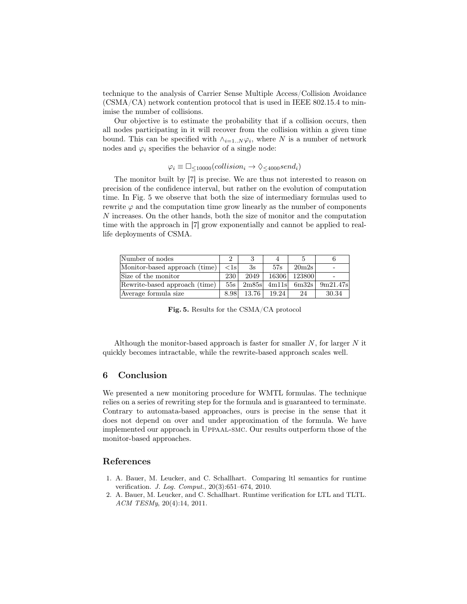technique to the analysis of Carrier Sense Multiple Access/Collision Avoidance (CSMA/CA) network contention protocol that is used in IEEE 802.15.4 to minimise the number of collisions.

Our objective is to estimate the probability that if a collision occurs, then all nodes participating in it will recover from the collision within a given time bound. This can be specified with  $\wedge_{i=1..N}\varphi_i$ , where N is a number of network nodes and  $\varphi_i$  specifies the behavior of a single node:

$$
\varphi_i \equiv \Box_{\leq 10000}(collision_i \rightarrow \Diamond_{\leq 4000} send_i)
$$

The monitor built by [7] is precise. We are thus not interested to reason on precision of the confidence interval, but rather on the evolution of computation time. In Fig. 5 we observe that both the size of intermediary formulas used to rewrite  $\varphi$  and the computation time grow linearly as the number of components N increases. On the other hands, both the size of monitor and the computation time with the approach in [7] grow exponentially and cannot be applied to reallife deployments of CSMA.

| Number of nodes               |              |       |               |                   |                          |
|-------------------------------|--------------|-------|---------------|-------------------|--------------------------|
| Monitor-based approach (time) | $\langle$ 1s | 3s    | 57s           | 20 <sub>m2s</sub> | $\overline{\phantom{0}}$ |
| Size of the monitor           | 230          | 2049  | 16306         | 123800            |                          |
| Rewrite-based approach (time) | 55s          |       | $2m85s$ 4m11s | 6m32s             | 9m21.47s                 |
| Average formula size          | 8.98         | 13.76 | 19.24         | 24                | 30.34                    |

Fig. 5. Results for the CSMA/CA protocol

Although the monitor-based approach is faster for smaller  $N$ , for larger  $N$  it quickly becomes intractable, while the rewrite-based approach scales well.

## 6 Conclusion

We presented a new monitoring procedure for WMTL formulas. The technique relies on a series of rewriting step for the formula and is guaranteed to terminate. Contrary to automata-based approaches, ours is precise in the sense that it does not depend on over and under approximation of the formula. We have implemented our approach in Uppaal-smc. Our results outperform those of the monitor-based approaches.

#### References

- 1. A. Bauer, M. Leucker, and C. Schallhart. Comparing ltl semantics for runtime verification. J. Log. Comput., 20(3):651–674, 2010.
- 2. A. Bauer, M. Leucker, and C. Schallhart. Runtime verification for LTL and TLTL. ACM TESMy, 20(4):14, 2011.